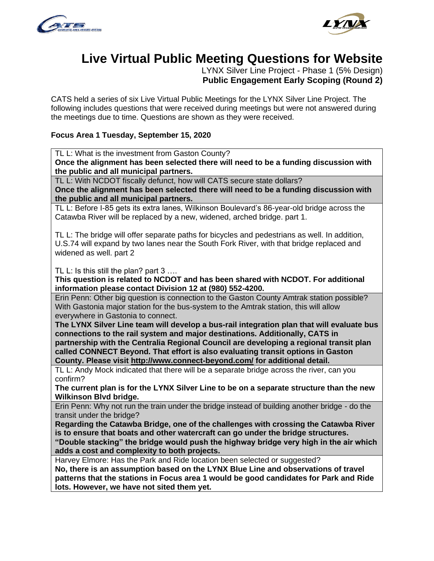



# **Live Virtual Public Meeting Questions for Website**

LYNX Silver Line Project - Phase 1 (5% Design) **Public Engagement Early Scoping (Round 2)**

CATS held a series of six Live Virtual Public Meetings for the LYNX Silver Line Project. The following includes questions that were received during meetings but were not answered during the meetings due to time. Questions are shown as they were received.

# **Focus Area 1 Tuesday, September 15, 2020**

TL L: What is the investment from Gaston County?

**Once the alignment has been selected there will need to be a funding discussion with the public and all municipal partners.** 

TL L: With NCDOT fiscally defunct, how will CATS secure state dollars? **Once the alignment has been selected there will need to be a funding discussion with the public and all municipal partners.**

TL L: Before I-85 gets its extra lanes, Wilkinson Boulevard's 86-year-old bridge across the Catawba River will be replaced by a new, widened, arched bridge. part 1.

TL L: The bridge will offer separate paths for bicycles and pedestrians as well. In addition, U.S.74 will expand by two lanes near the South Fork River, with that bridge replaced and widened as well. part 2

TL L: Is this still the plan? part 3 ….

**This question is related to NCDOT and has been shared with NCDOT. For additional information please contact Division 12 at (980) 552-4200.** 

Erin Penn: Other big question is connection to the Gaston County Amtrak station possible? With Gastonia major station for the bus-system to the Amtrak station, this will allow everywhere in Gastonia to connect.

**The LYNX Silver Line team will develop a bus-rail integration plan that will evaluate bus connections to the rail system and major destinations. Additionally, CATS in partnership with the Centralia Regional Council are developing a regional transit plan called CONNECT Beyond. That effort is also evaluating transit options in Gaston County. Please visit<http://www.connect-beyond.com/> for additional detail.**

TL L: Andy Mock indicated that there will be a separate bridge across the river, can you confirm?

**The current plan is for the LYNX Silver Line to be on a separate structure than the new Wilkinson Blvd bridge.** 

Erin Penn: Why not run the train under the bridge instead of building another bridge - do the transit under the bridge?

**Regarding the Catawba Bridge, one of the challenges with crossing the Catawba River is to ensure that boats and other watercraft can go under the bridge structures.** 

**"Double stacking" the bridge would push the highway bridge very high in the air which adds a cost and complexity to both projects.** 

Harvey Elmore: Has the Park and Ride location been selected or suggested?

**No, there is an assumption based on the LYNX Blue Line and observations of travel patterns that the stations in Focus area 1 would be good candidates for Park and Ride lots. However, we have not sited them yet.**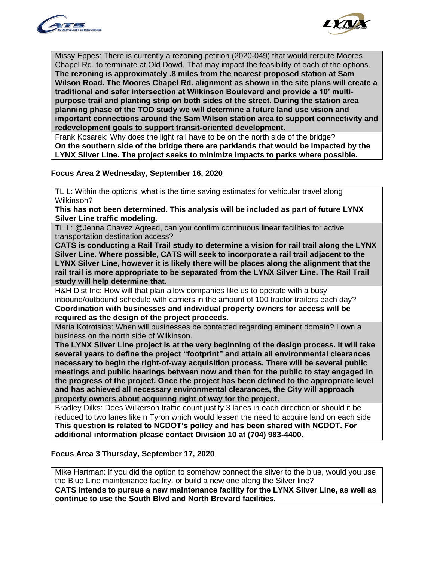



Missy Eppes: There is currently a rezoning petition (2020-049) that would reroute Moores Chapel Rd. to terminate at Old Dowd. That may impact the feasibility of each of the options. **The rezoning is approximately .8 miles from the nearest proposed station at Sam Wilson Road. The Moores Chapel Rd. alignment as shown in the site plans will create a traditional and safer intersection at Wilkinson Boulevard and provide a 10' multipurpose trail and planting strip on both sides of the street. During the station area planning phase of the TOD study we will determine a future land use vision and important connections around the Sam Wilson station area to support connectivity and redevelopment goals to support transit-oriented development.**

Frank Kosarek: Why does the light rail have to be on the north side of the bridge? **On the southern side of the bridge there are parklands that would be impacted by the LYNX Silver Line. The project seeks to minimize impacts to parks where possible.** 

#### **Focus Area 2 Wednesday, September 16, 2020**

TL L: Within the options, what is the time saving estimates for vehicular travel along Wilkinson?

**This has not been determined. This analysis will be included as part of future LYNX Silver Line traffic modeling.** 

TL L: @Jenna Chavez Agreed, can you confirm continuous linear facilities for active transportation destination access?

**CATS is conducting a Rail Trail study to determine a vision for rail trail along the LYNX Silver Line. Where possible, CATS will seek to incorporate a rail trail adjacent to the LYNX Silver Line, however it is likely there will be places along the alignment that the rail trail is more appropriate to be separated from the LYNX Silver Line. The Rail Trail study will help determine that.** 

H&H Dist Inc: How will that plan allow companies like us to operate with a busy inbound/outbound schedule with carriers in the amount of 100 tractor trailers each day? **Coordination with businesses and individual property owners for access will be required as the design of the project proceeds.** 

Maria Kotrotsios: When will businesses be contacted regarding eminent domain? I own a business on the north side of Wilkinson.

**The LYNX Silver Line project is at the very beginning of the design process. It will take several years to define the project "footprint" and attain all environmental clearances necessary to begin the right-of-way acquisition process. There will be several public meetings and public hearings between now and then for the public to stay engaged in the progress of the project. Once the project has been defined to the appropriate level and has achieved all necessary environmental clearances, the City will approach property owners about acquiring right of way for the project.** 

Bradley Dilks: Does Wilkerson traffic count justify 3 lanes in each direction or should it be reduced to two lanes like n Tyron which would lessen the need to acquire land on each side **This question is related to NCDOT's policy and has been shared with NCDOT. For additional information please contact Division 10 at (704) 983-4400.**

#### **Focus Area 3 Thursday, September 17, 2020**

Mike Hartman: If you did the option to somehow connect the silver to the blue, would you use the Blue Line maintenance facility, or build a new one along the Silver line? **CATS intends to pursue a new maintenance facility for the LYNX Silver Line, as well as continue to use the South Blvd and North Brevard facilities.**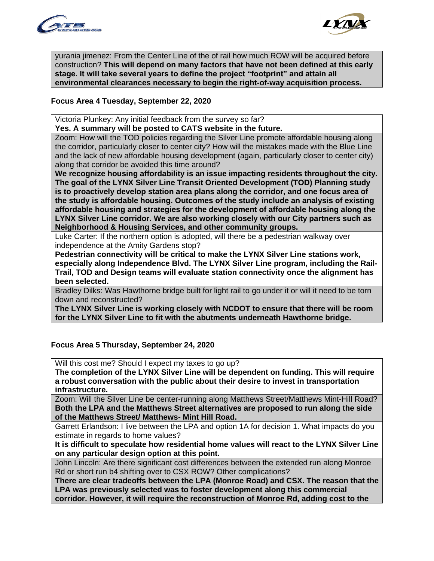



yurania jimenez: From the Center Line of the of rail how much ROW will be acquired before construction? **This will depend on many factors that have not been defined at this early stage. It will take several years to define the project "footprint" and attain all environmental clearances necessary to begin the right-of-way acquisition process.** 

## **Focus Area 4 Tuesday, September 22, 2020**

Victoria Plunkey: Any initial feedback from the survey so far?

**Yes. A summary will be posted to CATS website in the future.** 

Zoom: How will the TOD policies regarding the Silver Line promote affordable housing along the corridor, particularly closer to center city? How will the mistakes made with the Blue Line and the lack of new affordable housing development (again, particularly closer to center city) along that corridor be avoided this time around?

**We recognize housing affordability is an issue impacting residents throughout the city. The goal of the LYNX Silver Line Transit Oriented Development (TOD) Planning study is to proactively develop station area plans along the corridor, and one focus area of the study is affordable housing. Outcomes of the study include an analysis of existing affordable housing and strategies for the development of affordable housing along the LYNX Silver Line corridor. We are also working closely with our City partners such as Neighborhood & Housing Services, and other community groups.** 

Luke Carter: If the northern option is adopted, will there be a pedestrian walkway over independence at the Amity Gardens stop?

**Pedestrian connectivity will be critical to make the LYNX Silver Line stations work, especially along Independence Blvd. The LYNX Silver Line program, including the Rail-Trail, TOD and Design teams will evaluate station connectivity once the alignment has been selected.** 

Bradley Dilks: Was Hawthorne bridge built for light rail to go under it or will it need to be torn down and reconstructed?

**The LYNX Silver Line is working closely with NCDOT to ensure that there will be room for the LYNX Silver Line to fit with the abutments underneath Hawthorne bridge.**

## **Focus Area 5 Thursday, September 24, 2020**

Will this cost me? Should I expect my taxes to go up?

**The completion of the LYNX Silver Line will be dependent on funding. This will require a robust conversation with the public about their desire to invest in transportation infrastructure.** 

Zoom: Will the Silver Line be center-running along Matthews Street/Matthews Mint-Hill Road? **Both the LPA and the Matthews Street alternatives are proposed to run along the side of the Matthews Street/ Matthews- Mint Hill Road.** 

Garrett Erlandson: I live between the LPA and option 1A for decision 1. What impacts do you estimate in regards to home values?

**It is difficult to speculate how residential home values will react to the LYNX Silver Line on any particular design option at this point.**

John Lincoln: Are there significant cost differences between the extended run along Monroe Rd or short run b4 shifting over to CSX ROW? Other complications?

**There are clear tradeoffs between the LPA (Monroe Road) and CSX. The reason that the LPA was previously selected was to foster development along this commercial corridor. However, it will require the reconstruction of Monroe Rd, adding cost to the**